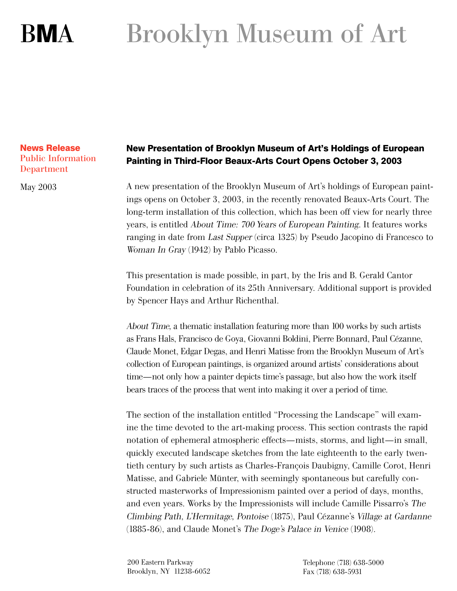# Brooklyn Museum of Art **BMA**

### **News Release** Public Information Department

May 2003

# **New Presentation of Brooklyn Museum of Art's Holdings of European Painting in Third-Floor Beaux-Arts Court Opens October 3, 2003**

A new presentation of the Brooklyn Museum of Art's holdings of European paintings opens on October 3, 2003, in the recently renovated Beaux-Arts Court. The long-term installation of this collection, which has been off view for nearly three years, is entitled About Time: 700 Years of European Painting. It features works ranging in date from Last Supper (circa 1325) by Pseudo Jacopino di Francesco to Woman In Gray (1942) by Pablo Picasso.

This presentation is made possible, in part, by the Iris and B. Gerald Cantor Foundation in celebration of its 25th Anniversary. Additional support is provided by Spencer Hays and Arthur Richenthal.

About Time, a thematic installation featuring more than 100 works by such artists as Frans Hals, Francisco de Goya, Giovanni Boldini, Pierre Bonnard, Paul Cézanne, Claude Monet, Edgar Degas, and Henri Matisse from the Brooklyn Museum of Art's collection of European paintings, is organized around artists' considerations about time—not only how a painter depicts time's passage, but also how the work itself bears traces of the process that went into making it over a period of time.

The section of the installation entitled "Processing the Landscape" will examine the time devoted to the art-making process. This section contrasts the rapid notation of ephemeral atmospheric effects—mists, storms, and light—in small, quickly executed landscape sketches from the late eighteenth to the early twentieth century by such artists as Charles-François Daubigny, Camille Corot, Henri Matisse, and Gabriele Münter, with seemingly spontaneous but carefully constructed masterworks of Impressionism painted over a period of days, months, and even years. Works by the Impressionists will include Camille Pissarro's The Climbing Path, L'Hermitage, Pontoise (1875), Paul Cézanne's Village at Gardanne (1885-86), and Claude Monet's The Doge's Palace in Venice (1908).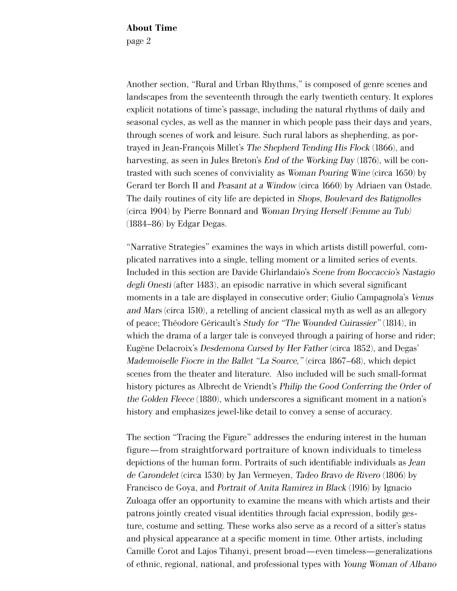About Time page 2

Another section, "Rural and Urban Rhythms," is composed of genre scenes and landscapes from the seventeenth through the early twentieth century. It explores explicit notations of time's passage, including the natural rhythms of daily and seasonal cycles, as well as the manner in which people pass their days and years, through scenes of work and leisure. Such rural labors as shepherding, as portrayed in Jean-François Millet's The Shepherd Tending His Flock (1866), and harvesting, as seen in Jules Breton's *End of the Working Day* (1876), will be contrasted with such scenes of conviviality as Woman Pouring Wine (circa 1650) by Gerard ter Borch II and Peasant at a Window (circa 1660) by Adriaen van Ostade. The daily routines of city life are depicted in Shops, Boulevard des Batignolles (circa 1904) by Pierre Bonnard and Woman Drying Herself (Femme au Tub) (1884–86) by Edgar Degas.

"Narrative Strategies" examines the ways in which artists distill powerful, complicated narratives into a single, telling moment or a limited series of events. Included in this section are Davide Ghirlandaio's Scene from Boccaccio's Nastagio degli Onesti (after 1483), an episodic narrative in which several significant moments in a tale are displayed in consecutive order; Giulio Campagnola's Venus and Mars (circa 1510), a retelling of ancient classical myth as well as an allegory of peace; Théodore Géricault's Study for "The Wounded Cuirassier" (1814), in which the drama of a larger tale is conveyed through a pairing of horse and rider; Eugène Delacroix's Desdemona Cursed by Her Father (circa 1852), and Degas' Mademoiselle Fiocre in the Ballet "La Source," (circa 1867–68), which depict scenes from the theater and literature. Also included will be such small-format history pictures as Albrecht de Vriendt's Philip the Good Conferring the Order of the Golden Fleece (1880), which underscores a significant moment in a nation's history and emphasizes jewel-like detail to convey a sense of accuracy.

The section "Tracing the Figure" addresses the enduring interest in the human figure—from straightforward portraiture of known individuals to timeless depictions of the human form. Portraits of such identifiable individuals as Jean de Carondelet (circa 1530) by Jan Vermeyen, Tadeo Bravo de Rivero (1806) by Francisco de Goya, and Portrait of Anita Ramirez in Black (1916) by Ignacio Zuloaga offer an opportunity to examine the means with which artists and their patrons jointly created visual identities through facial expression, bodily gesture, costume and setting. These works also serve as a record of a sitter's status and physical appearance at a specific moment in time. Other artists, including Camille Corot and Lajos Tihanyi, present broad—even timeless—generalizations of ethnic, regional, national, and professional types with Young Woman of Albano